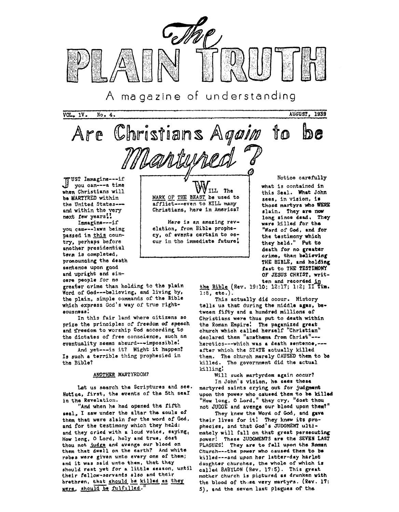

magazine of understanding  $A$ 

 $VOL<sub>•</sub> 1V<sub>•</sub>$ No. 4. AUGUST, 1939



JUST Immagine----if you can --- a time when Christians will be MARTYRED within the United Statesand within the very next few years!

Immagine --- if you can --- laws being passed in this country, perhaps before another presidential term is completed, pronouncing the death sentence upon good and upright and sincere people for no

greater crime than holding to the plain Word of God---believing, and living by, the plain, simple commands of the Bible which express God's way of true righteousness!

In this fair land where citizens so prize the principles of freedom of speech and freedom to worship God according to the dictates of free conseience, such an eventuality seems absurd---impossible!

And yet --- is it? Might it happen? Is such a terrible thing prophesied in the Bible?

## ANOTHER MARTYRDOM?

Let us search the Scriptures and see. Notice, first, the events of the 5th seal in the Revelation.

"And when he had opened the fifth seal, I saw under the altar the souls of them that were slain for the word of God, and for the testimony which they held: and they cried with a loud voice, saying, How long, O Lord, holy and true, dost thou not judge and avenge our blood on them that dwell on the earth? And white robes were given unto every one of them; and it was said unto them, that they should rest yet for a little season, until their fellow-servants also and their brethren, that should be killed as they were, should be fulfilled.

ILL The MARK OF THE BEAST be used to afflict---even to KILL many Christians, here in America?

Here is an amazing revelation, from Bible prophecy, of events certain to occur in the immediate future! Notice carefully

what is contained in this Seal. What John sees, in vision, is those martyrs who WERE slain. They are now long since dead. They ware killed for the "Word of God, and for the testimony which they held." Put to death for no greater crime, than believing THE BIBLE, and holding fast to THE TESTIMONY OF JESUS CHRIST, writ-

ten and recorded in<br>the Bible (Rev. 19:10; 12:17; 1:2; II Tim.  $1:8$ , etc.)

This actually did ocour. History tells us that during the middle ages, between fifty and a hundred millions of Christians were thus put to death within the Roman Empire! The paganized great church which called herself "Christian" declared them "anathema from Christ" --heretics --- which was a death sentence, --after which the STATE actually killed them. The church merely CAUSED them to be killed. The government did the actual killing!

Will such martyrdom again occur? In John's vision, he sees these martyred saints crying out for judgment upon the power who caused them to be killed "How long, O Lord," they cry, "dost thou not JUDGE and avenge our blood upon them?"

They knew the Word of God, and gave their lives for it! They knew its prophecies, and that God's JUDGMENT ultimately will fall on that great persecuting power! These JUDGMENTS are the SEVEN LAST PLAGUES! They are to fall upon the Roman Church---the power who caused them to be killed---and upon her latter-day harlot daughter churches, the whole of which is called BABYLON (Rev. 17:5). This great mother church is pictured as drunken with the blood of those very martyrs. (Rev. 17: 5), and the seven last plagues of the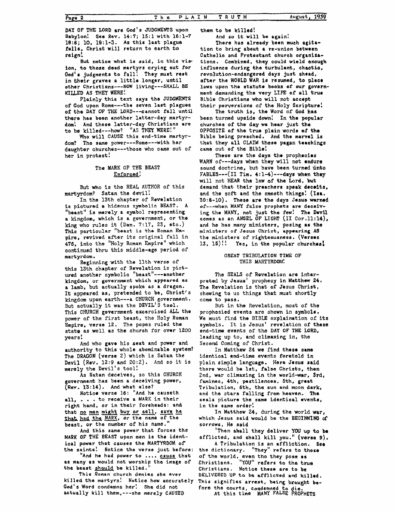**DAY OF THE LORD are God's JUDGMENTS** upon **Qabylon! See Rev, 14:7; 15:l with 36:l-7**  l8:6; **10, 19:l-3. As this last plague falls,** Christ **will return** to earth **to reign!** 

**But** notice **what is said, in this vie ion, to those dead** martyrs **crying out** for **Ged'o judgments** to fall! **They** must rest in their graves a little longer, until other **Christians---NOW** living---SHALL **BE KILLED AS THEY WERE!** 

Plainly **this** text **says** the **JUDCMENTS**  of **God** upon **Rome---the seven last plagues**  of the DAY OF THE LORD---cannot fall until there **has been** another latter-day martyr**dom! And** these latter-day Christians are to **be** killed---how? **"AS** THEY **WERE!"** 

Who **will CAUSE this end-time martyr**dom? The **same** power---Rome---with her daughter churches---those who **came** out of her in protest!

# **The** MARK OF THE **BEAST Enforced** !

But who is the REAL **AUTHOR** of this martyrdom? Satan the **devil!** 

In the 13th chapter of Revelation **is** picturad **a hideous symbolic BEAST. A**  "beast" is merely a symbol representing **a** kingdom, which is **a** government, or tho **king who rules** it (Dan. 7:17, 23, *etc.)*  **This particular "beast is tha Roman Empire,** revived after its original fall in **476,** into the "Holy **Roman** Empire" which continued **thru** this middle-age period of **martyrdom.** 

this 13th chapter **of** Revelation is pictured another **symbol** io ''beast **"---another kingdom,** or **govornment which appeared as a lamb,** but actually **spoke as** a dragon. **It** appeared **as,** pretended to **be, Christ's**  kingdom **upon** earth---a **CHURCH** government. But actually it **was** the DEVIL'S **tool.**  This CHURCH government excercised **ALL** the power of the first beast, the Holy Roman Empire, verse **12. The** popes ruled the state **as well as the** church for over 1200 years! **Beginning** with **the** 11th verse of

authority to this **whole** abominable system? **The DRAGON (verse** 2) which is Satan the **Devil (Rev. 12:9 and** *2O:Z).*  And **so** it is merely the Devil's tool! And **who gave** his **seat** and puwer and

**As** Satan deceives, **so** this CHURCH government has **been a** deceiving power, **(Rev. 13:14). And** what **else?** 

Notica verse 16: **"And** he causeth all, . . . to receive **a MARK** in their right hand, or **in** their foreheads: **and**  that <u>no man might</u> buy or sell, save he that had the MARK, or the name of the  $\frac{MARK}{R}$ , and  $\frac{MARK}{R}$ , are the name of the beast, or the **number of** his **name."** 

**And this same powor that** forces the **MARK** OF THE **BEAST** upon **men is** the identical **power** that **causes** the **MARTYRDOM** of **the** saints! **Notice the** verse **just befnre:** 

**"And** *ha* **had power to** .... **cause that a5 many as would not worship** tha insge of the beast should be killed.

**killed the martyrs! Notice how accurately Cod's Word condemns her! She** did not actually **kill them,---she merely CAUSED This Raman** church **denies she ever** 

\*hem to **be** killed! **And so it will be again!** 

There has already been **much** agita**tion to** bring about **a re-union between**  Catholic and Protestant church organiza**tions. Combined, they could wield anough**  influence during the turbulent, chaotic, revolution-endangered **days just ahead,**  attar **the WORLD WAR is resumed, to** place laws upon the statute books of our government demanding **the** very **LIFE of all true**  Bible Christians **who** will not **accept**  their perversions of the **Holy** Scripture!

been **turned** upside down! In **the** popular churches **of** the **day we hear just the**  OPPOSITE of the true plain words of the **Bible being** preached, **And** the **marvel is that they** all CLAIM these pagan taaohings **came** out **of the** Biblo! **The truth is,** the **Word** of **God has** 

**WARN of---days** when **thoy will** not endure sound doctrine, but have been turned unto **FABLES---( IS** Tim. **4: l-4)---days when they**  will not HEAR the law of the Lord, but demand **that** their preachers **speak decolta, and** the **soft** and the smooth things! **(Isr. 30:8-10). Them** are the **days Jesus warned**  of---when **MANY false prophets are deceiv**ing the **MANY,** not just the **few! The Devil comes** as an **ANGEL OF LIGHT (I1** Cor.l1:14), and he has **many** ministers, **posing as the ministers of' Jesus Christ, appearing A3 the** ministers of **righteousness. (Verses 13, 15)!! Yes,** in the popular churches! These are the days the prophecies

### **GREAT TRIBULATION TIME OF** THIS MARTYRDOM!

The **SEALS** of Revelation are Inter**preted by Jesus' propheoy in** Matthew **24.**  *The* Revelation **is** that of **Jesus** Christ, showing **to us** things that must shortly come to pass,

But in the Revelation, most of the prophesied events **are shown** in **symbols. We** must find the **BIBLE** explaination of its **symbols.** It is **Jesus'** revcl.ation of **these end-time** events of the **DAY** OF **THE** LORD, leading up to, **and** climaxing in, the Second Coming of Christ.

In Matthew **24 we** find these **aama**  identioal end-time **events** foretold in plain simple **language. Hore Jesus said there would be** lst, **false** Christs, **then Znd, war** climaxing **in** the **world-w8r, Srd,**  famines, 4th, pestilences, 5th, great Tribulation, **6th,** the **sun** and **moon dark, and** the **stars falling** from heaven. **Ths seals** picture the **same** identical **events,**  in the same order!

**which Jesus** said would **be the BEGINWINO af sorrows, He said In Matthew 24,** during **the** world **war,** 

**"Then shall they deliver YOU up to be afflicted, and shall kill you.'' (versa 9).** 

**<sup>A</sup>**Tribulation **is an affliction. See the dictionary, "They" rsfars to those of the world, even the they pose as**  Christians. **"YOU"** rafers **to the true Christians.** Notice **these are** *to* **be DELIVERED UP to be afflicted and killed,**  This signifies arrest, being brought be**fore the** courts, **condemned to die.** 

At **this time MANY FALSE PROPHETS**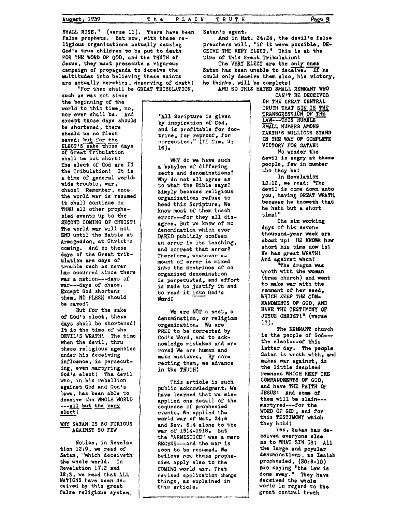Page 3

SHALL RISE." (verse 11). There have been false prophets. But now, with these religious organizations actually causing God's true children to be put to death FOR THE WORD OF GOD, and the TRUTH of Jesus, they must prosecute a vigorous campaign of propaganda to deceive the multitudes into believing these saints are actually heretics, deserving of death!

"For then shall be GREAT TRIBULATION.

such as was not since the beginning of the world to this time, no, nor ever shall be. And except those days should be shortened, there should be no flesh saved; but for the ELECT'S sake those days of Great Tribulation shall be cut short! The elect of God are IN the Tribulation! It is a time of general worldwide trouble, war, chaos! Remember, once the world war is resumed it shall continue on THRU all other prophesied events up to the SECOND COMING OF CHRIST! The world war will not END until the Battle at Armageddon, at Christ's coming. And so these days of the Great tribulation are days of trouble such as never has occurred since there was a nation---days of war---days of chaos. Except God shortens them, NO FLESH should be saved!

But for the sake of God's elect, these days shall be shortened! It is the time of the DEVIL'S WRATH! The time when the devil, thru these religious agencies under his deceiving influence, is persecuting, even martyring, God's elect! The devil who, in his rebellion against God and God's laws, has been able to deceive the WHOLE WORLD ---all but the very elect!

# WHY SATAN IS SO FURIOUS AGAINST SO FEW

Notice, in Revelation 12:9, we read of Satan, "which deceiveth the whole world. In Revelation 17:2 and 18:3, we read that ALL NATIONS have been deceived by this great falsa raligious system,

"All Scripture is given by inspiration of God, and is profitable for doctrine, for reproof, for correction." (II Tim. 3:  $16)$ .

WHY do we have such a babylon of differing sects and denominations? Why do not all agree as to what the Bible says? Simply because religious organizations refuse to heed this Scripture. We know most of them teach error---for they all disagree. But we know of no denomination which ever DARED publicly confess an error in its teaching, and correct that error? Therefore, whatever amount of error is mixed into the doctrines of an organized denomination is perpetuated, and effort is made to justify it and to read it into God's Word!

We are NOT a sect, a denomination, or religious organization. We are FREE to be corrected by God's Word, and to acknowledge mistakes and errors! We are human and make mistakes. By correcting them, we advance in the TRUTH!

This article is such public acknowledgment. We have learned that we misapplied one detail of the sequence of prophesied events. We applied the world war of Mat. 24:6 and Rev. 6:4 alone to the war of 1914-1918. But the "ARMISTICE" was a mere RECESS---and the war is soon to be resumed. We believe now these prophecies apply also to the COMING world war. That revised application changs things, as explained in this article.

Satan's agent. And in Mat. 24:24, the devil's false preachers will, "if it were possible, DE-CEIVE THE VERY ELECT." This is at the time of this Great Tribulation! The VERY ELECT are the only ones Satan has been unable to deceive. If he could only deceive them also, his victory, he thinks, will be complete! AND SO THIS HATED SMALL REMNANT WHO

> CAN'T BE DECEIVED ON THE GREAT CENTRAL TRUTH THAT SIN IS THE TRANSGRESSION OF THE LAW---THIS HUMBIE SMALL NUMBER AMONG EARTH'S MILLIONS STAND IN THE WAY OF COMPLETE VICTORY FOR SATAN! No wonder the devil is angry at these people, few in number tho they be! In Revelation  $12:12$ , we read: "The

devil is come down unto you, having GREAT WRATH because he knoweth that he hath but a short time!"

The six working days of his seventhousand-year week are about up! HE KNOWS how short his time now is! He has great WRATH! And against whom?

"The dragon was wroth with the woman (true church) and went to make war with the remnant of her seed, WHICH KEEP THE COM-MANDMENTS OF GOD, AND HAVE THE TESTIMONY OF JESUS CHRIST!" (verse  $17).$ 

The REMNANT church is the people of God --the elect --- of this latter day. The people Satan is wroth with, and makes war against, is the little despised remnant WHICH KEEP THE COMMANDMENTS OF GOD, and have THE FAITH OF JESUS! And some of them will be slain--martyred ---- for the WORD OF GOD, and for this TESTIMONY which they hold!

Yes, Satan has deceived everyone alse as to WHAT SIN IS! All the large and popular denominations, as Isaiah prophesied, (30:8-10)<br>are saying "the law is done away." They have deceived the whole world in regard to the great central truth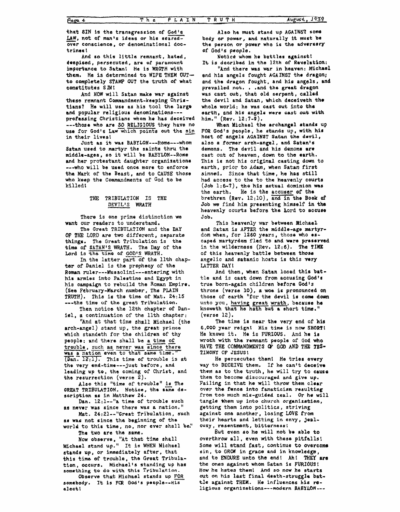that SIN is the transgression of God's LAW, not of man's ideas or his searedover conscience, or denominational doctrines!

And so this little remnant. hated. despised, persecuted, are of paramount importance to Satan! He is WROTH with them. He is determined to WIPE THEM OUTto completely STAMP OUT the truth of what constitutes  $SIN!$ 

And HOW will Satan make war against these remnant Commandment-keeping Christians? He will use as his tool the large and popular religious denominations --professing Christians whom he has deceived --- those who are SO RELIGIOUS they have no use for God's Law which points out the sin in their lives!

Just as it was BABYLON---Rome---whom Satan used to martyr the saints thru the middle-ages, so it will be BABYLON--Rome and her protestant daughter organizations --- who will be used once more to enforce the Mark of the Beast, and to CAUSE those who keep the Commandments of God to be killed!

#### THE TRIBULATION IS **THE** DEVIL'S WRATH

There is one prime distinction we want our readers to understand.

The Great TRIBULATION and the DAY OF THE LORD are two different, separate things. The Great Tribulation is the time of SATAN'S WRATH. The Day of the Lord is the time of GOD'S WRATH.

In the latter part of the llth chapter of Daniel is the prophecy of the Roman ruler---Mussolini---entering with his armies into Palestine and Egypt in his campaign to rebuild the Roman Empire. (See February-March number, The PLAIN TRUTH). This is the time of Mat. 24:15 --- the time of the great Tribulation.

Then notice the 12th chapter of Daniel, a continuation of the lith chapter:

"And at that time shall Michael (the arch-angel) stand up, the great prince which standeth for the children of thy people; and there shall be a time of trouble, such as never was since there was a nation even to that same time."  $(Dan. 12.1)$ . This time of trouble is at the very end-time---just before, and leading up to, the coming of Christ, and the resurrection (verse  $\bar{z}$ ).

Also this "time of trouble" is The GREAT TRIBULATION. Notice, the same description as in Matthew 24.

Dan. 12:1--"a time of trouble such as never was since there was a nation."

Mat. 24:21 -- "Great Tribulation, such as was not since the beginning of the world to this time, no, nor ever shall be."

The two are the same.

Now observe, "At that time shall Michael stand up." It is WHEN Michael stands up, or immediately after, that this time of trouble, the Great Tribulation, occurs. Michael's standing up has something to do with this Tribulation.

Observe that Michael stands up FOR somebody. It is FOR God's people--His alecti

Also he must stand up AGAINST some body or power, and naturally it must be the person or power who is the adversery of God's people.

Notice whom he battles against! It is decribed in the 12th of Revelation: "And there was war in heaven: Michael

end his angels fought AGAINST the dragon; and the dragon fought, and his angels, and prevailed not. . . and the great dragon was cast out, that old serpent, called the devil and Satan, which deceiveth the whole world; he was cast out into the earth, and his angels were cast out with him." (Rev. 12:7-9).

When Michael the archangel stands up FOR God's people, he stands up, with his host of angels AGAINST Satan the devil, also a former arch-angel, and Satan's demons. The devil and his demons are cast out of heaven, down to the earth. This is not his original casting down to earth, prior to Adam, when Satan first sinned. Since that time, he has still had access to the to the heavenly courts  $(Job 1:6-7)$ , the his actual dominion was He is the accuser of the the earth. brethren (Rev. 12:10), and in the Book of Job we find him presenting himself in the heavenly courts before the Lord to accuse Job.

This heavenly war between Michael and Satan is AFTER the middle-age martyrdom when, for 1260 years, those who escaped martyrdom fled to and were preserved in the wilderness (Rev.  $12:6$ ). The TIME of this heavenly battle between those angelic and satanic hosts is this very LATTER DAY!

And then, when Satan losed this battle and is cast down from accusing God's true born-again children before God's throne (verse 10), a woe is pronounced on those of earth "for the devil is come down unto you, having great wrath, because he knoweth that he hath but a short time."  $(\texttt{verse 12}).$ 

The time is near the very end of his 6,000 year reignt His time is now SHORT! He knows it. He is FURIOUS. And he is wroth with the remnant people of God who HAVE THE COMMANDMENTS OF GOD AND THE TES-TIMONY OF JESUS!

He persecutes them! He tries every way to DECEIVE them. If he can't deceive them as to the truth, he will try to cause them to become discouraged and give up. Failing in that he will throw them clear over the fence into fanaticism resulting from too much mis-guided zeal. Or he will tangle them up into church organization, getting them into politics, striving against one another, losing LOVE from their hearts and letting in envy, jealousy, resentment, bitterness!

But even so he will not be able to overthrow all, even with these pitfalls! Some will stand fast, continue to overcome sin, to GROW in grace and in knowledge, and to ENDURE unto the end! Ah! THEY are the ones against whom Satan is FURIOUS! How he hates them! And so now he starts out on his last final death-struggle battle against THEM. He influences his religious organizations --- modern BABYLON ---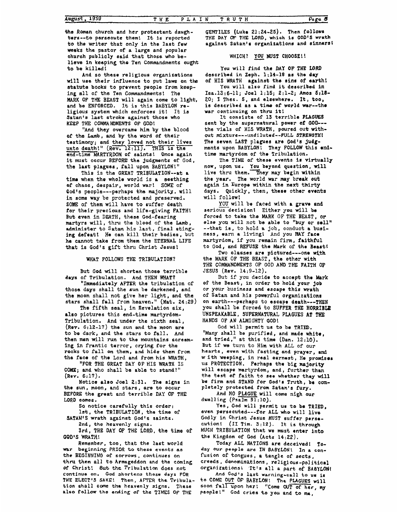**the Roman church** and **her** protestant daugh**ters--to persecute them!** It *is* reported to **the** writer **that only in the last few weeks the pastor of a large and** popular **ahutch publicly** said **that those who believe in keeping the Ten** Commandments **ought to be killed!** 

**will use their** influence **to** put **laws on the statute books to prevent people from keeping all** of **the Ten Commandments? The MARK OF** THE **BEAST will again come to light,**  and be ENFORCED. It is this BABYLON re**ligious system which** enforces it! It **is Satan's last stroke** against those who **KEEP THE COMNANDMEN9S OF GOD! And so these religious** organizations

**of the Lamb, and by the word of their "And they overcame him by the blood**  testimony; **and they loved** not **their lives**  Satan's last stroke against those who<br>Satan's last stroke against those who<br>KEEP THE COMMANDMENTS OF GOD!<br>"And they overcame him by the blood<br>of the Lamb, and by the word of their<br>testimony; and they loved not their lives<br> **end-time MARTYRDOM of saints!** Once **again**  it must occur **BEFORE the** judgments of God, the **last plagues, fall upon BABYLON!"** 

**This is the GREAT TRIBULATION--at a time when the** whole **world** *is* **a** eeething **of chaos** , **despair, world war! SOME of Cod's** people---perhaps **the majority, will in aome way be protected** and **pfeserved. SOBE** of **them will have** to **suffer** death **for** their **precious** and life-giving **FAITH\**  But even in DEATH, these God-fearing martyrs **will, thru** the **blood** of **the** Lamb, **administer** to Satan his last, final stinging defeat! **He can kill their bodies,** but **he cannot take** from **them the ETERNAL LIFE that** is **God's** gift thni Christ **Jesus!** 

**WHAT FOLLOWS** THE **TRIBULATION?** 

But **God** will **shorten those** terrible **days** of **Tribulation. And THEN WHAT?** 

**"~mmediately AFTER** *the* tribulation of **those days shall** the **bun be** darkened, **and**  the moon **shall** not **give** her light, **and** the stars **shall fall from heaven," (Mat. 24:29)** 

**The fifth seal, in** Revelation **six, also pictures** this **and-time martyrdam-Tribulation. And under the sixth seal, (Rev. 6:12-17) the sun and the** moon **are**  to be dark, and **the stars** to **fall.** *And*  then **men will run to the mountains screaming in** frantic terror, **crying for** the *rocks to* **fall on** them, **and bide them** from *the* **face** of **the** Lord **and** from **his WRATH,** 

**"FOR THE GREAT DAY OF HIS WRAYH IS**  COME; and **who** shall **be able to stand?" (Rev. 6:17).** 

**the sun** , **moon, and stars** , **are to** *occur*  **BEFORE** the great and terrible DAY **OF** THE **LORD oomes. Notice also** Joel *2:31.* **The signs** in

**So** notice carefully **this order:** 

**lst, the TRIBULATION, the time of SATAN'S wrath** against **God s** saints.

**2nd, the heavenly signs.** 

**3rd, THE DAY OF THE LORD, the time of GOD'S WRATH!** 

**Remember,** *too,* **that the Last** world **beginning PRIOR** to **thsse events as**  *war*  **the BEGINNINO ot sorrows, continues on thtu thea all to Armageddon and the coming of Christ! But the 'J'ribulation does not continue on. God shorten3 those deys FOR THE ELECT'S SAKE! Then, AFTER the Tribulation shall come tha heavenly** *signs.* **These**  also follow the ending of the TIMES OF THE

**GENTILES (Luke 21** : **24-25). Then follows THE DAY** *OF* **THE LORD, which is GOD'S wrath against Satan's organizationtt and sinnerst** 

**WHICH? yoU MUST CHOOSE!** !

**YOU will find** the **DAY OF** *THE* **LORD against the nine of earth! of HIS WRATH deacribod in Zeph. 1:14-18 as the day You** will **also** find it **described in Isa.13:6-11;** Joel **1:15; 2:l-2; Amas** *5t18-*  **20; 1 Thes. 5,** and **elsewhere. It, too,** 

**ia** described **as a time af world war--Cho war oontinuing on thru it!**  sent **by the** supernatural power **of OOD-- the vials of** HIS WRATH, poured out **without mixturc-a-undiluted--FULL STRENOTHI The seven LAST plagues are God's judgment6 upon BABYLON! They FOLLOWthis ond-It** consists **of** 13 terrible **PLAGUES** 

**time** martyrdom **of the Tribulation. The TIME of these events Is virtually now, upon usa beyond** question, **will** 

**live thru them. They may begin within**  the **year, The world war may break out again in Europe within the next thirty days.**  Quickly, **then, these other events will follow!** 

serious decision! Either you will be **forced to take** ths **MARK OF'THE BEAST, or else you will** not **be able to "buy** *or* **sall" --that is,** to hold **a job, conduct a busi**ness, **earn a living1 And** you **MY face**  martyrdom, if **you** remain firm, **faithful to God, and REFUSE: the Mark of the Baastt**  YOU will be faced with a grave and

*Two* **classes** are **pictured---one wtth the MARK** OF THE BEAST, tho **other with THE COMMANDMENTS OF' GOD AND THE FAITH OF JESUS (Rev. 14:9-12),** 

**of** the **Beast,** in order to hold **your Job**  or your **business** and escape **this wrath of Satan and his powerful organizations on** earth---perhaps to **escapo death---THEN you shall be forced** to **SUFFER THE HORRIBLE UNSPEAKABLE, SUPERNATURAL PLAGUES AT THE HANDS OF AN** AtMIGHTY GOD! But if you **decide** to accept **the Hark** 

**God will permit us to be TRIED. "Many** shall **be** purified , and **made whit8** , and tried," at this **time (Dan. 12:lO). But** if **we** turn to **Him** with **ALL** of our **hearts, even** with fasting and **prayer, mlad**  *<sup>w</sup>***ith weeping,** in **rael** earnest , **He promiser us PROTECTION.** Perhaps the **big majority will escape** martyrdom, **and** , further than **the test of** faith **to see whether they will be firm and STAND for Godla Tmth, be completely protected** from **Satan's fury.** 

**And NO PLAGUE will come nigh our**  *dwelling* **(Psalm 91:lO).** 

**Yes, God will permit us to be TRIED, even persecuted---far** ALL **who will** live Godly in Christ Jesus MUST suffer perse**cution! (11 Tim. 3:12). It** *is* **through MUCH TRIBULATION that we must** enter **into**  the Kingdom of **God (Acts 14:22),** 

**Today ALL NATIONS are deceived! Paday** *our* **people are IN BABYLON\ In a confusion of tongues, a tangle of sects, creeds** , **denminations** , **religious -pal itical organizationsi 'It's all a part of BABYLON!** 

**to COME OUT OF BABYLON! The PLAGUES will soon CalKpon her! "Come OUT of her, .I mv**  And God's last warning-call to us is **EXECUTE:** The IFIBULA- to COME OUT OF BABILON! The PLAGUES **p**<br>eavenly signs. These soon fall upon her! "Come OUT of her<br>g of the TIMES OF THE people!" God cries to you and to me,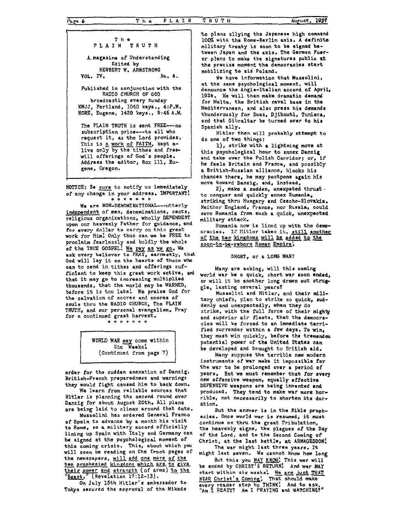## **The PLAIN TRUTH**

**A.** magazine of Understanding **HERBERT W. ARMSTRONG VOL. IV. Edited by** 

**Published in** conjunction with **the RADIO CHURCH OF GOD broadcasting every Sunday KWJJ, Portland, 1040 keys., 4:P.M. KORE, Eugene, 1420 keys,, 9:46 A.M.** 

**The PLAIN TRUTH is sent FREE--no**  request it, **as the Lord provides,**  This **is a** work **of FAITH, kept a**live only **by** the tithes and **freewill** offerings **of God's** people, **Address the** editor, **Box** 111, **Eu**subscription price --- to all who gene, Oregon.

**NMTCE: Be sure** to notify **us** immediately of **any change** in your **address. 'IMPORTANT!**  \* \* \* \* \* \*

We are NON-DENOMINATIONAL---utterly indapendent of **men,** denominations, sects, religious organizations, **wholly DEPENDENT upon our heavenly Father for guidance, and for** every **dollar to carry an this great**  work for **Him! Only thus** can **we be FREE to proolaim** fearlessly and boldly the **whole of the TRUE GOSPEL!** We pay **as we E, We ask every believer to PRAY, earnestly, that God will lay it on the** hearts **of** those **who**  can to send in tithes and offerings suf**ficlent** to keep **this** great **work active, ard that it may go to increasing** multiplied thousands, **that the** world **may be WARNED,**  before it is too **late! We praise God for the** salvation **of score3 and** scores **of souls** thru **the RADIO CHURCH, The PLAIN TRUTH,** and our personal **evangelism.** Pray for a continued great harvest.



order **for** the sudden anexation **of** Danzig. British-French preparedness and warnings they would fight **caused** him to **back** down.

**We** learn from **reliable sources Chat Hitler is** planning **the second round over Danzig** for **about August 20th. All** plans are **being laid** to climax around that **date.** 

**of Spain to advance by a** month **his visit**  to Rome, **so a** military **accord officially**  lining **up Spain with Italy and** Germany can **be** signed **at the** psychologicd **moment of this caning crisis, This, about which you will soon be** reading on the **front pages** of **the newspapers, will add** *gne* **more of thz**  Mussolini **has ordered General Franco**  be signed at the psychological moment of<br>this coming crisis. This, about which you<br>will soon be reading on the front pages of<br>the newspapers, will add one more of the<br>ten prophesied kingdoms which are to give<br>their power a **their power and strength (of arms) to the Beast.**" (Revelation 17:12-13).

**On July 15th Hitler's ambassadar** to Tokyo secured **\*he appraval** of **the Mikado** 

**to plans allying the Japanese high oommsnd 1007. with the Rome-Berlin axis. A definite military tredy is soon to be signed batween Japan and the axis. The German** Fuw**er plans** to **make the signatures public at the precise moment the dcmocraclies start mobilizing to aid Poland.** 

**We have** information **that** Mussolini, **at the same psychological moment, will denounce the Angl** a-Xtalian **accord of** April, **1938. He** will **then make dramatio demand**  for **Malta, the British naval** base in **the**  Mediterranean, **and** also **press his demands**  thunderously **for Suez, Djibouti, Tunisca,**  and that **Gibraltar be turned over to his Spanish ally.** 

**db** one of **two things: Hitler then will probably attempt to** 

**this psychological** hour *to* annex **Danzig and take over the Polish Corridor;** or, **if**  he feels Britain **and** France, and **possibly a** British-Rusoian **alliance, blocks his chances** there, **he may postpone again his move toward Danzig, and, instead, l),** strike with **a lightning move at** 

to conquer **and quickly annex** Rwnania, **striking thru** Hungary **and Cracho-Slovakia, Neither England, France,** nor **Russia, oould save Rumania** from such **a** quick, **unexpected**  military **attaok. 2), make a sudden, unexpeted** thrust -

**Rumania** now **is lined** up **with the democracies, If Hitler takas it, still anothar**  of the ten kingdoms will be added to the soon-to-be-reborn Roman Empire.

## **SHORT, or a LONG WAR?**

**Many** are **asking, will** this **coming world** war **be** a quick, short **war 60011 ended,**  or **will** it **be another long drawn out stmp gle,** lasting several **years?** 

Mussolini **and Hitler,** and their **military chiefs, plan** to strike **so** quick, **suddenly** and **unexpectedly, when they do Strike,** with the **full** force **of their mighty and** superior air fleets, **that the** democra**cies will be** forced to **an** immediate terri**fied** surrender **within a few days. To win,**  they must win quickly, before the tremendou potential power of **the United States can be developed and** brought to **British** aid,

**Many suppose the terrible new** modern instruments **of war make** it **impossible for**  the **war** to **be prolonged over a period of years. But we must** remember **that for every**  new offensive **weapon, equally effective DEFENSIVE** weapons ara being **invented** and **produced, They** tend **to make war more horrible, not necessarily to shorten its dur-St** ion

But **the answer** is in **the Bible** prophecies. **Once world war is** resumed, **it must continue on thru the great Tribulation, the heavenly signs, the plagues ofthe Day of the** tord, **and** to the **Second Coming** of Christ, **at the last battle, at ARMAGEDDON!** 

**The war might last** three **years. It might last seven. we cannot** *knbw* **how long E, at the last battle, at ARMAGEDDON**<br>The war might last three years. It<br>I last seven. We cannot know how long<br>But this you MAY KNOW! This war will<br>ded by CHRIST'S RETURN! And war MAY **be ended by CHRIST'S RETURN: And war MAY** 

**start within air weeks! We are just THAT NEAR Christ's) Coming! That should make every reader stop to THINK! "Am 1 READY? And to a5k, An I PRAYING and WATCHING?"** 

*r*